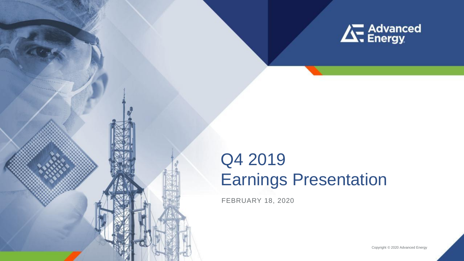

# Q4 2019 Earnings Presentation

FEBRUARY 18, 2020

Copyright © 2020 Advanced Energy

**1**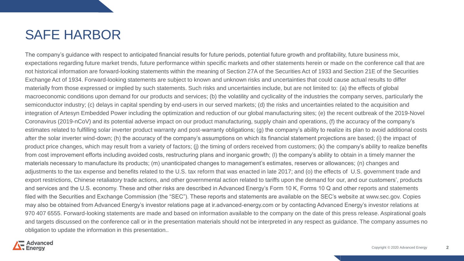### SAFE HARBOR

The company's guidance with respect to anticipated financial results for future periods, potential future growth and profitability, future business mix, expectations regarding future market trends, future performance within specific markets and other statements herein or made on the conference call that are not historical information are forward-looking statements within the meaning of Section 27A of the Securities Act of 1933 and Section 21E of the Securities Exchange Act of 1934. Forward-looking statements are subject to known and unknown risks and uncertainties that could cause actual results to differ materially from those expressed or implied by such statements. Such risks and uncertainties include, but are not limited to: (a) the effects of global macroeconomic conditions upon demand for our products and services; (b) the volatility and cyclicality of the industries the company serves, particularly the semiconductor industry; (c) delays in capital spending by end-users in our served markets; (d) the risks and uncertainties related to the acquisition and integration of Artesyn Embedded Power including the optimization and reduction of our global manufacturing sites; (e) the recent outbreak of the 2019-Novel Coronavirus (2019-nCoV) and its potential adverse impact on our product manufacturing, supply chain and operations, (f) the accuracy of the company's estimates related to fulfilling solar inverter product warranty and post-warranty obligations; (g) the company's ability to realize its plan to avoid additional costs after the solar inverter wind-down; (h) the accuracy of the company's assumptions on which its financial statement projections are based; (i) the impact of product price changes, which may result from a variety of factors; (j) the timing of orders received from customers; (k) the company's ability to realize benefits from cost improvement efforts including avoided costs, restructuring plans and inorganic growth; (l) the company's ability to obtain in a timely manner the materials necessary to manufacture its products; (m) unanticipated changes to management's estimates, reserves or allowances; (n) changes and adjustments to the tax expense and benefits related to the U.S. tax reform that was enacted in late 2017; and (o) the effects of U.S. government trade and export restrictions, Chinese retaliatory trade actions, and other governmental action related to tariffs upon the demand for our, and our customers', products and services and the U.S. economy. These and other risks are described in Advanced Energy's Form 10 K, Forms 10 Q and other reports and statements filed with the Securities and Exchange Commission (the "SEC"). These reports and statements are available on the SEC's website at www.sec.gov. Copies may also be obtained from Advanced Energy's investor relations page at ir.advanced-energy.com or by contacting Advanced Energy's investor relations at 970 407 6555. Forward-looking statements are made and based on information available to the company on the date of this press release. Aspirational goals and targets discussed on the conference call or in the presentation materials should not be interpreted in any respect as guidance. The company assumes no obligation to update the information in this presentation..

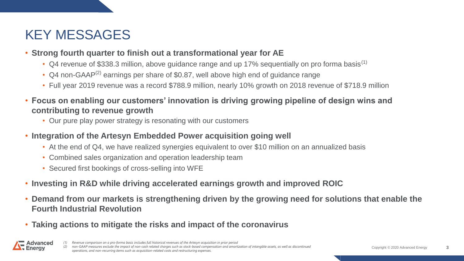## KEY MESSAGES

- **Strong fourth quarter to finish out a transformational year for AE**
	- Q4 revenue of \$338.3 million, above guidance range and up 17% sequentially on pro forma basis<sup>(1)</sup>
	- Q4 non-GAAP<sup>(2)</sup> earnings per share of \$0.87, well above high end of guidance range
	- Full year 2019 revenue was a record \$788.9 million, nearly 10% growth on 2018 revenue of \$718.9 million
- **Focus on enabling our customers' innovation is driving growing pipeline of design wins and contributing to revenue growth** 
	- Our pure play power strategy is resonating with our customers
- **Integration of the Artesyn Embedded Power acquisition going well**
	- At the end of Q4, we have realized synergies equivalent to over \$10 million on an annualized basis
	- Combined sales organization and operation leadership team
	- Secured first bookings of cross-selling into WFE
- **Investing in R&D while driving accelerated earnings growth and improved ROIC**
- **Demand from our markets is strengthening driven by the growing need for solutions that enable the Fourth Industrial Revolution**
- **Taking actions to mitigate the risks and impact of the coronavirus**



*<sup>(1)</sup> Revenue comparison on a pro-forma basis includes full historical revenues of the Artesyn acquisition in prior period*

*(2) non-GAAP measures exclude the impact of non-cash related charges such as stock-based compensation and amortization of intangible assets, as well as discontinued operations, and non-recurring items such as acquisition-related costs and restructuring expenses.*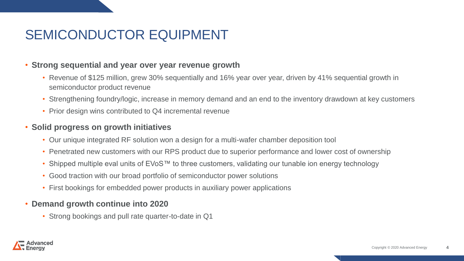## SEMICONDUCTOR EQUIPMENT

#### • **Strong sequential and year over year revenue growth**

- Revenue of \$125 million, grew 30% sequentially and 16% year over year, driven by 41% sequential growth in semiconductor product revenue
- Strengthening foundry/logic, increase in memory demand and an end to the inventory drawdown at key customers
- Prior design wins contributed to Q4 incremental revenue

#### • **Solid progress on growth initiatives**

- Our unique integrated RF solution won a design for a multi-wafer chamber deposition tool
- Penetrated new customers with our RPS product due to superior performance and lower cost of ownership
- Shipped multiple eval units of EVoS™ to three customers, validating our tunable ion energy technology
- Good traction with our broad portfolio of semiconductor power solutions
- First bookings for embedded power products in auxiliary power applications

#### • **Demand growth continue into 2020**

• Strong bookings and pull rate quarter-to-date in Q1

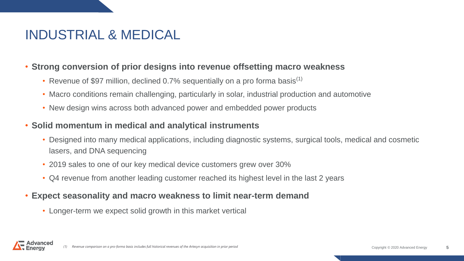## INDUSTRIAL & MEDICAL

### • **Strong conversion of prior designs into revenue offsetting macro weakness**

- Revenue of \$97 million, declined 0.7% sequentially on a pro forma basis<sup>(1)</sup>
- Macro conditions remain challenging, particularly in solar, industrial production and automotive
- New design wins across both advanced power and embedded power products

### • **Solid momentum in medical and analytical instruments**

- Designed into many medical applications, including diagnostic systems, surgical tools, medical and cosmetic lasers, and DNA sequencing
- 2019 sales to one of our key medical device customers grew over 30%
- Q4 revenue from another leading customer reached its highest level in the last 2 years

### • **Expect seasonality and macro weakness to limit near-term demand**

• Longer-term we expect solid growth in this market vertical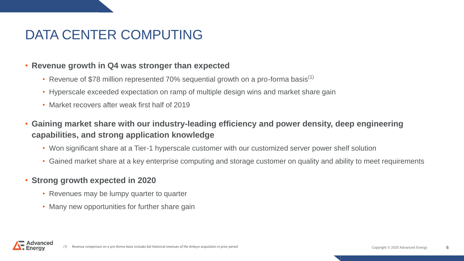## DATA CENTER COMPUTING

#### • **Revenue growth in Q4 was stronger than expected**

- Revenue of \$78 million represented 70% sequential growth on a pro-forma basis<sup>(1)</sup>
- Hyperscale exceeded expectation on ramp of multiple design wins and market share gain
- Market recovers after weak first half of 2019
- **Gaining market share with our industry-leading efficiency and power density, deep engineering capabilities, and strong application knowledge**
	- Won significant share at a Tier-1 hyperscale customer with our customized server power shelf solution
	- Gained market share at a key enterprise computing and storage customer on quality and ability to meet requirements

### • **Strong growth expected in 2020**

- Revenues may be lumpy quarter to quarter
- Many new opportunities for further share gain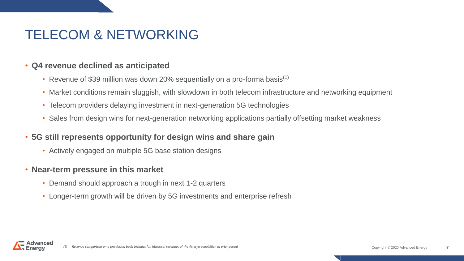## TELECOM & NETWORKING

#### • **Q4 revenue declined as anticipated**

- Revenue of \$39 million was down 20% sequentially on a pro-forma basis<sup>(1)</sup>
- Market conditions remain sluggish, with slowdown in both telecom infrastructure and networking equipment
- Telecom providers delaying investment in next-generation 5G technologies
- Sales from design wins for next-generation networking applications partially offsetting market weakness

#### • **5G still represents opportunity for design wins and share gain**

• Actively engaged on multiple 5G base station designs

#### • **Near-term pressure in this market**

- Demand should approach a trough in next 1-2 quarters
- Longer-term growth will be driven by 5G investments and enterprise refresh

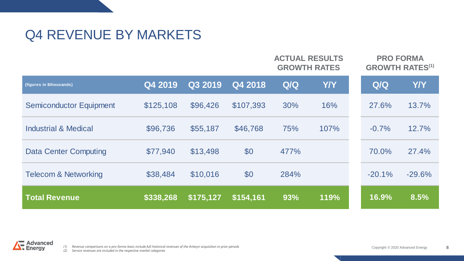### Q4 REVENUE BY MARKETS

|                                 |           |           |           | <b>ACTUAL RESULTS</b><br><b>GROWTH RATES</b> |            | <b>PRO FORMA</b><br><b>GROWTH RATES<sup>(1)</sup></b> |            |
|---------------------------------|-----------|-----------|-----------|----------------------------------------------|------------|-------------------------------------------------------|------------|
| (figures in \$thousands)        | Q4 2019   | Q3 2019   | Q4 2018   | Q/Q                                          | <b>Y/Y</b> | Q/Q                                                   | <b>Y/Y</b> |
| <b>Semiconductor Equipment</b>  | \$125,108 | \$96,426  | \$107,393 | 30%                                          | 16%        | 27.6%                                                 | 13.7%      |
| <b>Industrial &amp; Medical</b> | \$96,736  | \$55,187  | \$46,768  | 75%                                          | 107%       | $-0.7%$                                               | 12.7%      |
| <b>Data Center Computing</b>    | \$77,940  | \$13,498  | \$0       | 477%                                         |            | 70.0%                                                 | 27.4%      |
| <b>Telecom &amp; Networking</b> | \$38,484  | \$10,016  | \$0       | 284%                                         |            | $-20.1%$                                              | $-29.6%$   |
| <b>Total Revenue</b>            | \$338,268 | \$175,127 | \$154,161 | 93%                                          | 119%       | 16.9%                                                 | 8.5%       |

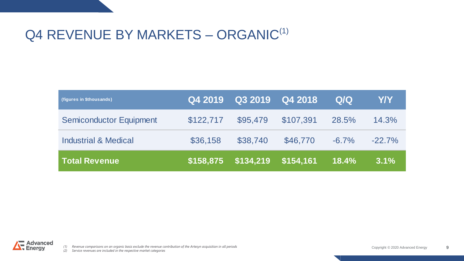### Q4 REVENUE BY MARKETS – ORGANIC<sup>(1)</sup>

| (figures in \$thousands)        | <b>IQ4 2019</b> | Q3 2019   | $\bigcirc$ Q4 2018 | Q/Q      | Y/Y       |
|---------------------------------|-----------------|-----------|--------------------|----------|-----------|
| <b>Semiconductor Equipment</b>  | \$122,717       | \$95,479  | \$107,391          | 28.5%    | 14.3%     |
| <b>Industrial &amp; Medical</b> | \$36,158        | \$38,740  | \$46,770           | $-6.7\%$ | $-22.7\%$ |
| <b>Total Revenue</b>            | \$158,875       | \$134,219 | \$154,161          | 18.4%    | 3.1%      |

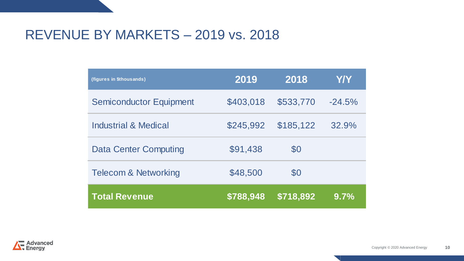### REVENUE BY MARKETS – 2019 vs. 2018

| (figures in \$thousands)        | 2019      | 2018      | Y/Y      |
|---------------------------------|-----------|-----------|----------|
| <b>Semiconductor Equipment</b>  | \$403,018 | \$533,770 | $-24.5%$ |
| <b>Industrial &amp; Medical</b> | \$245,992 | \$185,122 | 32.9%    |
| <b>Data Center Computing</b>    | \$91,438  | \$0       |          |
| <b>Telecom &amp; Networking</b> | \$48,500  | \$0       |          |
| <b>Total Revenue</b>            | \$788,948 | \$718,892 | 9.7%     |

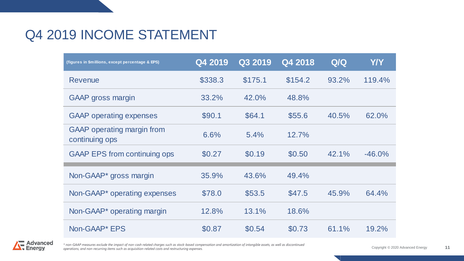### Q4 2019 INCOME STATEMENT

| (figures in \$millions, except percentage & EPS)    | Q4 2019 | Q3 2019 | Q4 2018 | Q/Q   | <b>Y/Y</b> |
|-----------------------------------------------------|---------|---------|---------|-------|------------|
| Revenue                                             | \$338.3 | \$175.1 | \$154.2 | 93.2% | 119.4%     |
| <b>GAAP</b> gross margin                            | 33.2%   | 42.0%   | 48.8%   |       |            |
| <b>GAAP</b> operating expenses                      | \$90.1  | \$64.1  | \$55.6  | 40.5% | 62.0%      |
| <b>GAAP</b> operating margin from<br>continuing ops | 6.6%    | 5.4%    | 12.7%   |       |            |
| <b>GAAP EPS from continuing ops</b>                 | \$0.27  | \$0.19  | \$0.50  | 42.1% | $-46.0%$   |
| Non-GAAP <sup>*</sup> gross margin                  | 35.9%   | 43.6%   | 49.4%   |       |            |
| Non-GAAP <sup>*</sup> operating expenses            | \$78.0  | \$53.5  | \$47.5  | 45.9% | 64.4%      |
| Non-GAAP <sup>*</sup> operating margin              | 12.8%   | 13.1%   | 18.6%   |       |            |
| Non-GAAP* EPS                                       | \$0.87  | \$0.54  | \$0.73  | 61.1% | 19.2%      |



*\* non-GAAP measures exclude the impact of non-cash related charges such as stock-based compensation and amortization of intangible assets, as well as discontinued operations, and non-recurring items such as acquisition-related costs and restructuring expenses.*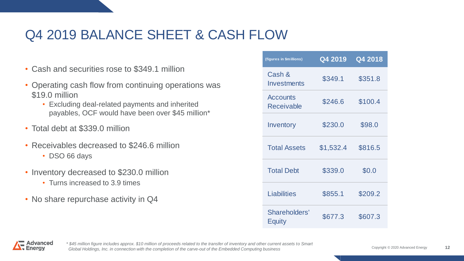## Q4 2019 BALANCE SHEET & CASH FLOW

- Cash and securities rose to \$349.1 million
- Operating cash flow from continuing operations was \$19.0 million
	- Excluding deal-related payments and inherited payables, OCF would have been over \$45 million\*
- Total debt at \$339.0 million
- Receivables decreased to \$246.6 million
	- DSO 66 days
- Inventory decreased to \$230.0 million
	- Turns increased to 3.9 times
- No share repurchase activity in Q4

| (figures in \$millions)              | Q4 2019   | Q4 2018 |
|--------------------------------------|-----------|---------|
| Cash &<br>Investments                | \$349.1   | \$351.8 |
| <b>Accounts</b><br><b>Receivable</b> | \$246.6   | \$100.4 |
| Inventory                            | \$230.0   | \$98.0  |
| <b>Total Assets</b>                  | \$1,532.4 | \$816.5 |
| <b>Total Debt</b>                    | \$339.0   | \$0.0   |
| <b>Liabilities</b>                   | \$855.1   | \$209.2 |
| Shareholders'<br>Equity              | \$677.3   | \$607.3 |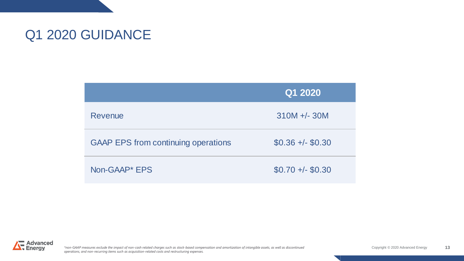## Q1 2020 GUIDANCE

|                                            | Q1 2020           |
|--------------------------------------------|-------------------|
| Revenue                                    | $310M + - 30M$    |
| <b>GAAP EPS from continuing operations</b> | $$0.36 +/- $0.30$ |
| Non-GAAP* EPS                              | $$0.70 +/- $0.30$ |



*\*non-GAAP measures exclude the impact of non-cash related charges such as stock-based compensation and amortization of intangible assets, as well as discontinued* Copyright © 2020 Advanced Energy *operations, and non-recurring items such as acquisition-related costs and restructuring expenses.*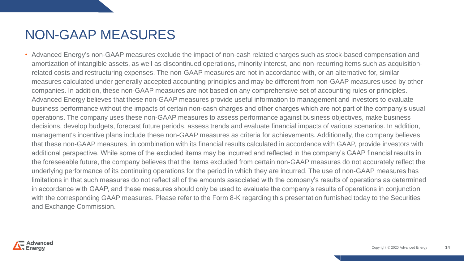### NON-GAAP MEASURES

• Advanced Energy's non-GAAP measures exclude the impact of non-cash related charges such as stock-based compensation and amortization of intangible assets, as well as discontinued operations, minority interest, and non-recurring items such as acquisitionrelated costs and restructuring expenses. The non-GAAP measures are not in accordance with, or an alternative for, similar measures calculated under generally accepted accounting principles and may be different from non-GAAP measures used by other companies. In addition, these non-GAAP measures are not based on any comprehensive set of accounting rules or principles. Advanced Energy believes that these non-GAAP measures provide useful information to management and investors to evaluate business performance without the impacts of certain non-cash charges and other charges which are not part of the company's usual operations. The company uses these non-GAAP measures to assess performance against business objectives, make business decisions, develop budgets, forecast future periods, assess trends and evaluate financial impacts of various scenarios. In addition, management's incentive plans include these non-GAAP measures as criteria for achievements. Additionally, the company believes that these non-GAAP measures, in combination with its financial results calculated in accordance with GAAP, provide investors with additional perspective. While some of the excluded items may be incurred and reflected in the company's GAAP financial results in the foreseeable future, the company believes that the items excluded from certain non-GAAP measures do not accurately reflect the underlying performance of its continuing operations for the period in which they are incurred. The use of non-GAAP measures has limitations in that such measures do not reflect all of the amounts associated with the company's results of operations as determined in accordance with GAAP, and these measures should only be used to evaluate the company's results of operations in conjunction with the corresponding GAAP measures. Please refer to the Form 8-K regarding this presentation furnished today to the Securities and Exchange Commission.

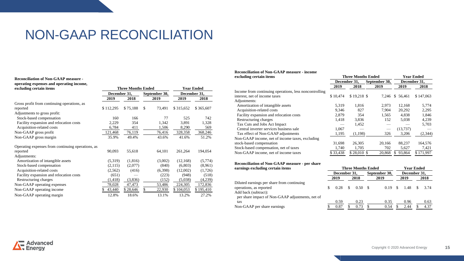### NON-GAAP RECONCILIATION

#### **Reconciliation of Non-GAAP measure operating expenses and operating income, excluding certain items Three Months Ended Year Ended**

|                                                   | December 31, |          | September 30, | December 31, |           |  |
|---------------------------------------------------|--------------|----------|---------------|--------------|-----------|--|
|                                                   | 2019         | 2018     | 2019          | 2019         | 2018      |  |
| Gross profit from continuing operations, as       |              |          |               |              |           |  |
| reported                                          | \$112,295    | \$75,188 | \$<br>73,491  | \$315,652    | \$365,607 |  |
| Adjustments to gross profit:                      |              |          |               |              |           |  |
| Stock-based compensation                          | 160          | 166      | 77            | 525          | 742       |  |
| Facility expansion and relocation costs           | 2,229        | 354      | 1,342         | 3,891        | 1,328     |  |
| Acquisition-related costs                         | 6,784        | 411      | 1,506         | 8,290        | 569       |  |
| Non-GAAP gross profit                             | 121,468      | 76,119   | 76,416        | 328,358      | 368,246   |  |
| Non-GAAP gross margin                             | 35.9%        | 49.4%    | 43.6%         | 41.6%        | 51.2%     |  |
| Operating expenses from continuing operations, as |              |          |               |              |           |  |
| reported                                          | 90,093       | 55,618   | 64,101        | 261,264      | 194,054   |  |
| Adjustments:                                      |              |          |               |              |           |  |
| Amortization of intangible assets                 | (5,319)      | (1,816)  | (3,002)       | (12, 168)    | (5,774)   |  |
| Stock-based compensation                          | (2,115)      | (2,077)  | (840)         | (6,803)      | (8,961)   |  |
| Acquisition-related costs                         | (2, 562)     | (416)    | (6,398)       | (12,002)     | (1,726)   |  |
| Facility expansion and relocation costs           | (651)        |          | (223)         | (948)        | (518)     |  |
| Restructuring charges                             | (1, 418)     | (3,836)  | (152)         | (5,038)      | (4,239)   |  |
| Non-GAAP operating expenses                       | 78,028       | 47,473   | 53,486        | 224,305      | 172,836   |  |
| Non-GAAP operating income                         | 43,440       | \$28,646 | \$<br>22,930  | \$104,053    | \$195,410 |  |
| Non-GAAP operating margin                         | 12.8%        | 18.6%    | 13.1%         | 13.2%        | 27.2%     |  |

#### **Reconciliation of Non-GAAP measure - income**

| excluding certain items                                |          | <b>Three Months Ended</b> | <b>Year Ended</b> |              |           |
|--------------------------------------------------------|----------|---------------------------|-------------------|--------------|-----------|
|                                                        |          | December 31.              | September 30,     | December 31. |           |
|                                                        | 2019     | 2018                      | 2019              | 2019         | 2018      |
| Income from continuing operations, less noncontrolling |          |                           |                   |              |           |
| interest, net of income taxes                          | \$10,474 | \$19,218 \$               | 7.246             | \$56.461     | \$147,063 |
| Adjustments:                                           |          |                           |                   |              |           |
| Amortization of intangible assets                      | 5,319    | 1,816                     | 2,973             | 12.168       | 5,774     |
| Acquisition-related costs                              | 9,346    | 827                       | 7,904             | 20,292       | 2,295     |
| Facility expansion and relocation costs                | 2.879    | 354                       | 1,565             | 4,838        | 1,846     |
| Restructuring charges                                  | 1,418    | 3,836                     | 152               | 5,038        | 4,239     |
| Tax Cuts and Jobs Act Impact                           |          | 1,452                     |                   |              | 5,703     |
| Central inverter services business sale                | 1.067    |                           |                   | (13,737)     |           |
| Tax effect of Non-GAAP adjustments                     | 1,195    | (1,198)                   | 326               | 3,206        | (2, 344)  |
| Non-GAAP income, net of income taxes, excluding        |          |                           |                   |              |           |
| stock-based compensation                               | 31,698   | 26.305                    | 20.166            | 88,237       | 164,576   |
| Stock-based compensation, net of taxes                 | 1,740    | 1,705                     | 702               | 5,627        | 7,421     |
| Non-GAAP income, net of income taxes                   | \$33,438 | \$28,010 \$               | 20,868            | 93,864       | \$171,997 |
|                                                        |          |                           |                   |              |           |

#### **Reconciliation of Non-GAAP measure - per share earnings excluding certain items Three Months Ended Year Ended**

|                                                                                               | December 31, |      | September 30, |        | December 31, |        |  |              |  |      |
|-----------------------------------------------------------------------------------------------|--------------|------|---------------|--------|--------------|--------|--|--------------|--|------|
|                                                                                               |              | 2019 |               | 2018   |              | 2019   |  | 2019         |  | 2018 |
| Diluted earnings per share from continuing<br>operations, as reported<br>Add back (subtract): |              | 0.28 | <sup>\$</sup> | 0.50 S |              | 0.19 S |  | 1.48 \$ 3.74 |  |      |
| per share impact of Non-GAAP adjustments, net of<br>tax                                       |              | 0.59 |               | 0.23   |              | 0.35   |  | 0.96         |  | 0.63 |
| Non-GAAP per share earnings                                                                   |              | 0.87 |               | 0.73   |              | 0.54   |  | 2.44         |  | 4.37 |